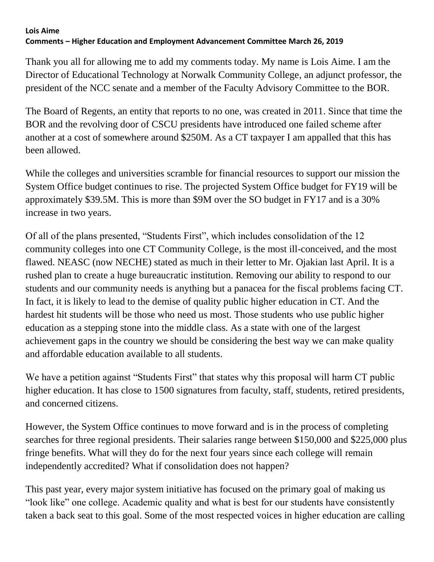## **Lois Aime Comments – Higher Education and Employment Advancement Committee March 26, 2019**

Thank you all for allowing me to add my comments today. My name is Lois Aime. I am the Director of Educational Technology at Norwalk Community College, an adjunct professor, the president of the NCC senate and a member of the Faculty Advisory Committee to the BOR.

The Board of Regents, an entity that reports to no one, was created in 2011. Since that time the BOR and the revolving door of CSCU presidents have introduced one failed scheme after another at a cost of somewhere around \$250M. As a CT taxpayer I am appalled that this has been allowed.

While the colleges and universities scramble for financial resources to support our mission the System Office budget continues to rise. The projected System Office budget for FY19 will be approximately \$39.5M. This is more than \$9M over the SO budget in FY17 and is a 30% increase in two years.

Of all of the plans presented, "Students First", which includes consolidation of the 12 community colleges into one CT Community College, is the most ill-conceived, and the most flawed. NEASC (now NECHE) stated as much in their letter to Mr. Ojakian last April. It is a rushed plan to create a huge bureaucratic institution. Removing our ability to respond to our students and our community needs is anything but a panacea for the fiscal problems facing CT. In fact, it is likely to lead to the demise of quality public higher education in CT. And the hardest hit students will be those who need us most. Those students who use public higher education as a stepping stone into the middle class. As a state with one of the largest achievement gaps in the country we should be considering the best way we can make quality and affordable education available to all students.

We have a petition against "Students First" that states why this proposal will harm CT public higher education. It has close to 1500 signatures from faculty, staff, students, retired presidents, and concerned citizens.

However, the System Office continues to move forward and is in the process of completing searches for three regional presidents. Their salaries range between \$150,000 and \$225,000 plus fringe benefits. What will they do for the next four years since each college will remain independently accredited? What if consolidation does not happen?

This past year, every major system initiative has focused on the primary goal of making us "look like" one college. Academic quality and what is best for our students have consistently taken a back seat to this goal. Some of the most respected voices in higher education are calling